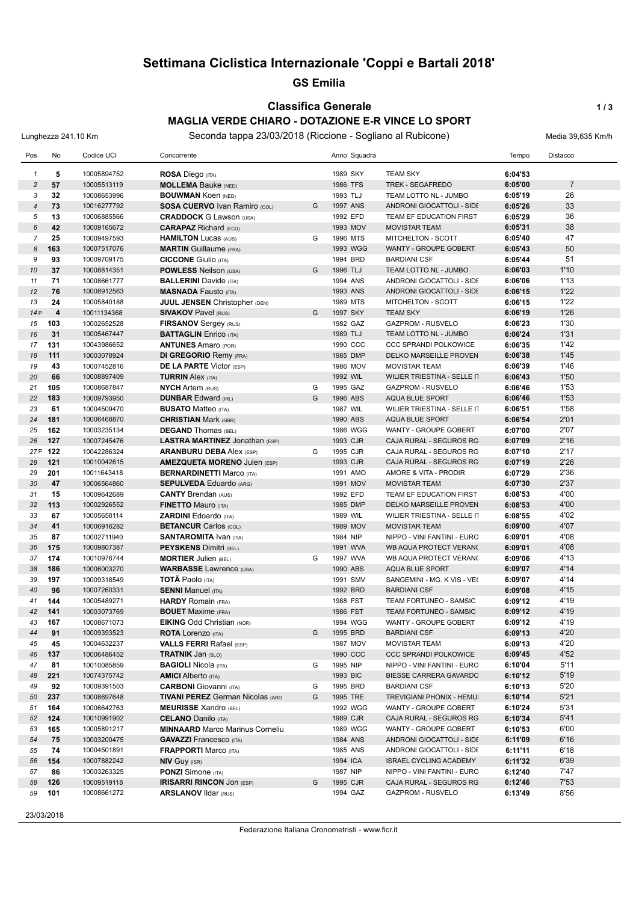## **Settimana Ciclistica Internazionale 'Coppi e Bartali 2018'**

#### **GS Emilia**

## **Classifica Generale 1/3**

#### **MAGLIA VERDE CHIARO - DOTAZIONE E-R VINCE LO SPORT**

Lunghezza 241,10 Km Seconda tappa 23/03/2018 (Riccione - Sogliano al Rubicone) Media 39,635 Km/h

| Pos            | No                      | Codice UCI                 | Concorrente                                                    |        |                      | Anno Squadra |                                                      | Tempo              | Distacco       |
|----------------|-------------------------|----------------------------|----------------------------------------------------------------|--------|----------------------|--------------|------------------------------------------------------|--------------------|----------------|
| $\mathbf{1}$   | 5                       | 10005894752                | ROSA Diego (ITA)                                               |        | 1989 SKY             |              | <b>TEAM SKY</b>                                      | 6:04'53            |                |
| $\overline{c}$ | 57                      | 10005513119                | <b>MOLLEMA Bauke (NED)</b>                                     |        | 1986 TFS             |              | <b>TREK - SEGAFREDO</b>                              | 6:05'00            | $\overline{7}$ |
| 3              | 32                      | 10008653996                | <b>BOUWMAN Koen (NED)</b>                                      |        | 1993 TLJ             |              | TEAM LOTTO NL - JUMBO                                | 6:05'19            | 26             |
| $\overline{4}$ | 73                      | 10016277792                | SOSA CUERVO Ivan Ramiro (COL)                                  | G      | 1997 ANS             |              | ANDRONI GIOCATTOLI - SIDE                            | 6:05'26            | 33             |
| 5              | 13                      | 10006885566                | <b>CRADDOCK G Lawson (USA)</b>                                 |        | 1992 EFD             |              | TEAM EF EDUCATION FIRST                              | 6:05'29            | 36             |
| 6              | 42                      | 10009165672                | <b>CARAPAZ</b> Richard (ECU)                                   |        | 1993 MOV             |              | <b>MOVISTAR TEAM</b>                                 | 6:05'31            | 38             |
| $\overline{7}$ | 25                      | 10009497593                | <b>HAMILTON Lucas (AUS)</b>                                    | G      | 1996 MTS             |              | MITCHELTON - SCOTT                                   | 6:05'40            | 47             |
| 8              | 163                     | 10007517076                | <b>MARTIN</b> Guillaume (FRA)                                  |        |                      | 1993 WGG     | WANTY - GROUPE GOBERT                                | 6:05'43            | 50             |
| 9              | 93                      | 10009709175                | <b>CICCONE</b> Giulio (ITA)                                    |        | 1994 BRD             |              | <b>BARDIANI CSF</b>                                  | 6:05'44            | 51             |
| 10             | 37                      | 10008814351                | <b>POWLESS Neilson (USA)</b>                                   | G      | 1996 TLJ             |              | TEAM LOTTO NL - JUMBO                                | 6:06'03            | 1'10           |
| 11             | 71                      | 10008661777                | <b>BALLERINI</b> Davide (ITA)                                  |        | 1994 ANS             |              | ANDRONI GIOCATTOLI - SIDE                            | 6:06'06            | 1'13           |
| 12             | 76                      | 10008912563                | <b>MASNADA Fausto (ITA)</b>                                    |        | 1993 ANS             |              | ANDRONI GIOCATTOLI - SIDE                            | 6:06'15            | 1'22           |
| 13             | 24                      | 10005840188                | <b>JUUL JENSEN Christopher (DEN)</b>                           |        | 1989 MTS             |              | MITCHELTON - SCOTT                                   | 6:06'15            | 1'22           |
| 14P            | $\overline{\mathbf{4}}$ | 10011134368                | <b>SIVAKOV Pavel (RUS)</b>                                     | G      | 1997 SKY             |              | <b>TEAM SKY</b>                                      | 6:06'19            | 1'26           |
| 15             | 103                     | 10002652528                | FIRSANOV Sergey (RUS)                                          |        | 1982 GAZ             |              | <b>GAZPROM - RUSVELO</b>                             | 6:06'23            | 1'30           |
| 16             | 31                      | 10005467447                | <b>BATTAGLIN</b> Enrico (ITA)                                  |        | 1989 TLJ             |              | TEAM LOTTO NL - JUMBO                                | 6:06'24            | 1'31           |
| 17             | 131                     | 10043986652                | <b>ANTUNES</b> Amaro (POR)                                     |        | 1990 CCC             |              | <b>CCC SPRANDI POLKOWICE</b>                         | 6:06'35            | 1'42           |
| 18             | 111                     | 10003078924                | <b>DI GREGORIO Remy (FRA)</b>                                  |        | 1985 DMP             |              | <b>DELKO MARSEILLE PROVEN</b>                        | 6:06'38            | 1'45           |
| 19             | 43                      | 10007452816                | <b>DE LA PARTE Victor (ESP)</b>                                |        | 1986 MOV             |              | <b>MOVISTAR TEAM</b>                                 | 6:06'39            | 1'46           |
| 20             | 66                      | 10008897409                | <b>TURRIN Alex (ITA)</b>                                       |        | 1992 WIL             |              | WILIER TRIESTINA - SELLE IT                          | 6:06'43            | 1'50           |
| 21             | 105                     | 10008687847                | <b>NYCH Artem (RUS)</b>                                        | G      | 1995 GAZ             |              | <b>GAZPROM - RUSVELO</b>                             | 6:06'46            | 1'53           |
| 22             | 183                     | 10009793950                | <b>DUNBAR Edward (IRL)</b>                                     | G      | 1996 ABS             |              | <b>AQUA BLUE SPORT</b>                               | 6:06'46            | 1'53           |
| 23             | 61                      | 10004509470                | <b>BUSATO Matteo (ITA)</b>                                     |        | 1987 WIL             |              | WILIER TRIESTINA - SELLE IT                          | 6:06'51            | 1'58           |
| 24             | 181                     | 10006468870                | <b>CHRISTIAN Mark (GBR)</b>                                    |        | 1990 ABS             |              | <b>AQUA BLUE SPORT</b>                               | 6:06'54            | 2'01           |
| 25             | 162                     | 10003235134                | <b>DEGAND</b> Thomas (BEL)                                     |        |                      | 1986 WGG     | WANTY - GROUPE GOBERT                                | 6:07'00            | 2'07           |
| 26             | 127                     | 10007245476                | <b>LASTRA MARTINEZ Jonathan (ESP)</b>                          |        | 1993 CJR             |              | CAJA RURAL - SEGUROS RG                              | 6:07'09            | 2'16           |
| 27 P           | 122                     | 10042286324                | <b>ARANBURU DEBA Alex (ESP)</b>                                | G      | 1995 CJR             |              | CAJA RURAL - SEGUROS RG                              | 6:07'10            | 2'17           |
| 28             | 121                     | 10010042615                | <b>AMEZQUETA MORENO Julen (ESP)</b>                            |        | 1993 CJR             |              | CAJA RURAL - SEGUROS RG                              | 6:07'19            | 2'26           |
| 29             | 201                     | 10011643418                | <b>BERNARDINETTI Marco (ITA)</b>                               |        | 1991 AMO             |              | AMORE & VITA - PRODIR                                | 6:07'29            | 2'36           |
| 30             | 47                      | 10006564860                | <b>SEPULVEDA Eduardo (ARG)</b>                                 |        | 1991 MOV             |              | <b>MOVISTAR TEAM</b>                                 | 6:07'30            | 2'37           |
| 31             | 15                      | 10009642689                | <b>CANTY Brendan (AUS)</b>                                     |        | 1992 EFD             |              | TEAM EF EDUCATION FIRST                              | 6:08'53            | 4'00           |
| 32             | 113                     | 10002926552                | <b>FINETTO Mauro (ITA)</b>                                     |        | 1985 DMP             |              | <b>DELKO MARSEILLE PROVEN</b>                        | 6:08'53            | 4'00           |
| 33             | 67                      | 10005658114                | <b>ZARDINI Edoardo</b> (ITA)                                   |        | 1989 WIL             |              | WILIER TRIESTINA - SELLE IT                          | 6:08'55            | 4'02           |
| 34             | 41                      | 10006916282                | <b>BETANCUR Carlos (COL)</b>                                   |        | 1989 MOV             |              | <b>MOVISTAR TEAM</b>                                 | 6:09'00            | 4'07           |
| 35             | 87                      | 10002711940                | <b>SANTAROMITA IVAN (ITA)</b>                                  |        | 1984 NIP             |              | NIPPO - VINI FANTINI - EURO                          | 6:09'01            | 4'08           |
| 36             | 175                     | 10009807387                | <b>PEYSKENS Dimitri (BEL)</b>                                  |        | 1991 WVA             |              | WB AQUA PROTECT VERANC                               | 6:09'01            | 4'08           |
| 37             | 174                     | 10010976744                | <b>MORTIER Julien (BEL)</b>                                    | G      | 1997 WVA             |              | WB AQUA PROTECT VERANC                               | 6:09'06            | 4'13           |
| 38             | 186                     | 10006003270                | <b>WARBASSE Lawrence (USA)</b>                                 |        | 1990 ABS             |              | <b>AQUA BLUE SPORT</b>                               | 6:09'07            | 4'14           |
| 39             | 197                     | 10009318549                | <b>TOTÃ Paolo</b> (ITA)                                        |        | 1991 SMV             |              | SANGEMINI - MG. K VIS - VE(                          | 6:09'07            | 4'14           |
| 40             | 96                      | 10007260331                | <b>SENNI Manuel (ITA)</b>                                      |        | 1992 BRD             |              | <b>BARDIANI CSF</b>                                  | 6:09'08            | 4'15           |
| 41             | 144                     | 10005489271                | <b>HARDY</b> Romain (FRA)                                      |        | 1988 FST             |              | TEAM FORTUNEO - SAMSIC                               | 6:09'12            | 4'19           |
| 42             | 141                     | 10003073769                | <b>BOUET</b> Maxime (FRA)                                      |        | 1986 FST             |              | TEAM FORTUNEO - SAMSIC                               | 6:09'12            | 4'19           |
| 43             | 167                     | 10008671073                | <b>EIKING Odd Christian (NOR)</b>                              |        |                      | 1994 WGG     | WANTY - GROUPE GOBERT                                | 6:09'12            | 4'19           |
| 44             | 91                      | 10009393523                | <b>ROTA Lorenzo (ITA)</b>                                      | G      | 1995 BRD             |              | <b>BARDIANI CSF</b>                                  | 6:09'13            | 4'20           |
| 45             | 45                      | 10004632237                | <b>VALLS FERRI Rafael (ESP)</b>                                |        | 1987 MOV<br>1990 CCC |              | <b>MOVISTAR TEAM</b><br><b>CCC SPRANDI POLKOWICE</b> | 6:09'13            | 4'20           |
| 46<br>47       | 137<br>81               | 10006486452<br>10010085859 | <b>TRATNIK Jan (SLO)</b>                                       | G      | 1995 NIP             |              | NIPPO - VINI FANTINI - EURO                          | 6:09'45            | 4'52<br>5'11   |
|                |                         |                            | <b>BAGIOLI Nicola (ITA)</b>                                    |        |                      |              |                                                      | 6:10'04            |                |
| 48             | 221                     | 10074375742                | <b>AMICI</b> Alberto (ITA)<br><b>CARBONI</b> Giovanni (ITA)    |        | 1993 BIC<br>1995 BRD |              | BIESSE CARRERA GAVARDO                               | 6:10'12            | 5'19<br>5'20   |
| 49<br>50       | 92<br>237               | 10009391503<br>10008697648 | <b>TIVANI PEREZ German Nicolas (ARG</b>                        | G<br>G | 1995 TRE             |              | <b>BARDIANI CSF</b><br>TREVIGIANI PHONIX - HEMU!     | 6:10'13<br>6:10'14 | 5'21           |
| 51             |                         | 10006642763                | <b>MEURISSE Xandro (BEL)</b>                                   |        |                      | 1992 WGG     | WANTY - GROUPE GOBERT                                |                    | 5'31           |
| 52             | 164<br>124              |                            | <b>CELANO</b> Danilo (ITA)                                     |        | 1989 CJR             |              | CAJA RURAL - SEGUROS RG                              | 6:10'24<br>6:10'34 | 5'41           |
|                | 165                     | 10010991902<br>10005891217 | <b>MINNAARD</b> Marco Marinus Corneliu                         |        |                      | 1989 WGG     | WANTY - GROUPE GOBERT                                | 6:10'53            | 6'00           |
| 53<br>54       | 75                      | 10003200475                |                                                                |        | 1984 ANS             |              | ANDRONI GIOCATTOLI - SIDE                            | 6:11'09            | 6'16           |
| 55             | 74                      | 10004501891                | <b>GAVAZZI</b> Francesco (ITA)<br><b>FRAPPORTI Marco (ITA)</b> |        | 1985 ANS             |              | ANDRONI GIOCATTOLI - SIDE                            | 6:11'11            | 6'18           |
| 56             | 154                     | 10007882242                | <b>NIV GUY (ISR)</b>                                           |        | 1994 ICA             |              | <b>ISRAEL CYCLING ACADEMY</b>                        | 6:11'32            | 6'39           |
| 57             | 86                      | 10003263325                | <b>PONZI</b> Simone (ITA)                                      |        | 1987 NIP             |              | NIPPO - VINI FANTINI - EURO                          | 6:12'40            | 7'47           |
| 58             | 126                     | 10009519118                | <b>IRISARRI RINCON JON (ESP)</b>                               | G      | 1995 CJR             |              | CAJA RURAL - SEGUROS RG                              | 6:12'46            | 7'53           |
| 59             | 101                     | 10008661272                | <b>ARSLANOV IIdar (RUS)</b>                                    |        | 1994 GAZ             |              | <b>GAZPROM - RUSVELO</b>                             | 6:13'49            | 8'56           |
|                |                         |                            |                                                                |        |                      |              |                                                      |                    |                |

23/03/2018

Federazione Italiana Cronometristi - www.ficr.it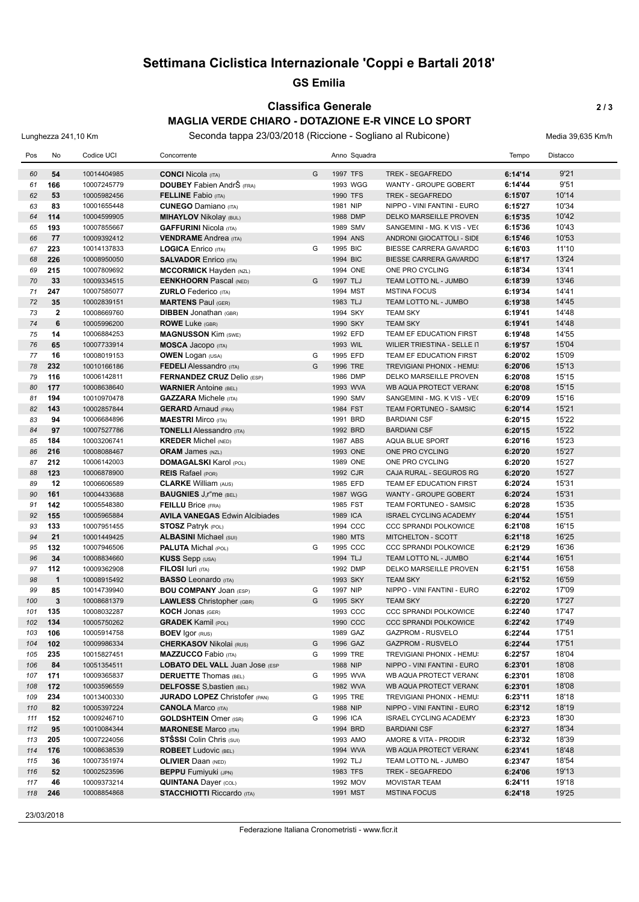## **Settimana Ciclistica Internazionale 'Coppi e Bartali 2018'**

#### **GS Emilia**

#### **Classifica Generale 2 / 3 MAGLIA VERDE CHIARO - DOTAZIONE E-R VINCE LO SPORT**

Lunghezza 241,10 Km Seconda tappa 23/03/2018 (Riccione - Sogliano al Rubicone) Media 39,635 Km/h

| Pos      | No           | Codice UCI                 | Concorrente                                          |   | Anno Squadra         |                                                | Tempo              | Distacco       |
|----------|--------------|----------------------------|------------------------------------------------------|---|----------------------|------------------------------------------------|--------------------|----------------|
| 60       | 54           | 10014404985                | <b>CONCI Nicola (ITA)</b>                            | G | 1997 TFS             | <b>TREK - SEGAFREDO</b>                        | 6:14'14            | 9'21           |
| 61       | 166          | 10007245779                | <b>DOUBEY</b> Fabien AndrŠ (FRA)                     |   | 1993 WGG             | WANTY - GROUPE GOBERT                          | 6:14'44            | 9'51           |
| 62       | 53           | 10005982456                | <b>FELLINE</b> Fabio (ITA)                           |   | 1990 TFS             | <b>TREK - SEGAFREDO</b>                        | 6:15'07            | 10'14          |
| 63       | 83           | 10001655448                | <b>CUNEGO</b> Damiano (ITA)                          |   | 1981 NIP             | NIPPO - VINI FANTINI - EURO                    | 6:15'27            | 10'34          |
| 64       | 114          | 10004599905                | <b>MIHAYLOV</b> Nikolay (BUL)                        |   | 1988 DMP             | <b>DELKO MARSEILLE PROVEN</b>                  | 6:15'35            | 10'42          |
| 65       | 193          | 10007855667                | <b>GAFFURINI Nicola (ITA)</b>                        |   | 1989 SMV             | SANGEMINI - MG. K VIS - VE(                    | 6:15'36            | 10'43          |
| 66       | 77           | 10009392412                | <b>VENDRAME</b> Andrea (ITA)                         |   | 1994 ANS             | ANDRONI GIOCATTOLI - SIDE                      | 6:15'46            | 10'53          |
| 67       | 223          | 10014137833                | <b>LOGICA</b> Enrico (ITA)                           | G | 1995 BIC             | BIESSE CARRERA GAVARDO                         | 6:16'03            | 11'10          |
| 68       | 226          | 10008950050                | <b>SALVADOR Enrico (ITA)</b>                         |   | 1994 BIC             | <b>BIESSE CARRERA GAVARDO</b>                  | 6:18'17            | 13'24          |
| 69       | 215          | 10007809692                | <b>MCCORMICK Hayden (NZL)</b>                        |   | 1994 ONE             | ONE PRO CYCLING                                | 6:18'34            | 13'41          |
| 70       | 33           | 10009334515                | <b>EENKHOORN</b> Pascal (NED)                        | G | 1997 TLJ             | TEAM LOTTO NL - JUMBO                          | 6:18'39            | 13'46          |
| 71       | 247          | 10007585077                | <b>ZURLO</b> Federico (ITA)                          |   | 1994 MST             | <b>MSTINA FOCUS</b>                            | 6:19'34            | 14'41          |
| 72       | 35           | 10002839151                | <b>MARTENS Paul (GER)</b>                            |   | 1983 TLJ             | TEAM LOTTO NL - JUMBO                          | 6:19'38            | 14'45          |
| 73       | $\mathbf{2}$ | 10008669760                | <b>DIBBEN Jonathan (GBR)</b>                         |   | 1994 SKY             | <b>TEAM SKY</b>                                | 6:19'41            | 14'48          |
| 74       | 6            | 10005996200                | <b>ROWE Luke (GBR)</b>                               |   | 1990 SKY             | <b>TEAM SKY</b>                                | 6:19'41            | 14'48          |
| 75       | 14           | 10006884253                | <b>MAGNUSSON Kim (SWE)</b>                           |   | 1992 EFD             | TEAM EF EDUCATION FIRST                        | 6:19'48            | 14'55          |
| 76       | 65           | 10007733914                | <b>MOSCA Jacopo</b> (ITA)                            |   | 1993 WIL             | WILIER TRIESTINA - SELLE IT                    | 6:19'57            | 15'04          |
| 77       | 16           | 10008019153                | <b>OWEN</b> Logan (USA)                              | G | 1995 EFD             | TEAM EF EDUCATION FIRST                        | 6:20'02            | 15'09          |
| 78       | 232          | 10010166186                | <b>FEDELI</b> Alessandro (ITA)                       | G | 1996 TRE             | TREVIGIANI PHONIX - HEMU!                      | 6:20'06            | 15'13          |
| 79       | 116          | 10006142811                | <b>FERNANDEZ CRUZ Delio (ESP)</b>                    |   | 1986 DMP             | DELKO MARSEILLE PROVEN                         | 6:20'08            | 15'15          |
| 80       | 177          | 10008638640                | <b>WARNIER Antoine (BEL)</b>                         |   | 1993 WVA             | WB AQUA PROTECT VERANC                         | 6:20'08            | 15'15          |
| 81       | 194          | 10010970478                | <b>GAZZARA</b> Michele (ITA)                         |   | 1990 SMV             | SANGEMINI - MG. K VIS - VE(                    | 6:20'09            | 15'16          |
| 82       | 143          | 10002857844                | <b>GERARD</b> Arnaud (FRA)                           |   | 1984 FST             | TEAM FORTUNEO - SAMSIC                         | 6:20'14            | 15'21          |
| 83       | 94           | 10006684896                | <b>MAESTRI Mirco (ITA)</b>                           |   | 1991 BRD             | <b>BARDIANI CSF</b>                            | 6:20'15            | 15'22          |
| 84       | 97           | 10007527786                | <b>TONELLI Alessandro (ITA)</b>                      |   | 1992 BRD             | <b>BARDIANI CSF</b>                            | 6:20'15            | 15'22          |
| 85       | 184          | 10003206741                | <b>KREDER Michel (NED)</b>                           |   | 1987 ABS             | AQUA BLUE SPORT                                | 6:20'16            | 15'23          |
| 86       | 216          | 10008088467                | <b>ORAM James (NZL)</b>                              |   | 1993 ONE             | ONE PRO CYCLING                                | 6:20'20            | 15'27          |
| 87       | 212          | 10006142003                | <b>DOMAGALSKI</b> Karol (POL)                        |   | 1989 ONE             | ONE PRO CYCLING                                | 6:20'20            | 15'27          |
| 88       | 123          | 10006878900                | <b>REIS</b> Rafael (POR)                             |   | 1992 CJR             | CAJA RURAL - SEGUROS RG                        | 6:20'20            | 15'27          |
| 89       | 12           | 10006606589                | <b>CLARKE William (AUS)</b>                          |   | 1985 EFD             | TEAM EF EDUCATION FIRST                        | 6:20'24            | 15'31          |
| 90       | 161          | 10004433688                | <b>BAUGNIES</b> J,r"me (BEL)                         |   | 1987 WGG             | WANTY - GROUPE GOBERT                          | 6:20'24            | 15'31          |
| 91       | 142          | 10005548380                | <b>FEILLU Brice (FRA)</b>                            |   | 1985 FST             | TEAM FORTUNEO - SAMSIC                         | 6:20'28            | 15'35          |
| 92       | 155          | 10005965884                | <b>AVILA VANEGAS Edwin Alcibiades</b>                |   | 1989 ICA             | <b>ISRAEL CYCLING ACADEMY</b>                  | 6:20'44            | 15'51          |
| 93       | 133          | 10007951455                | <b>STOSZ Patryk (POL)</b>                            |   | 1994 CCC             | <b>CCC SPRANDI POLKOWICE</b>                   | 6:21'08            | 16'15          |
| 94       | 21           | 10001449425                | <b>ALBASINI Michael (SUI)</b>                        | G | 1980 MTS<br>1995 CCC | MITCHELTON - SCOTT                             | 6:21'18            | 16'25<br>16'36 |
| 95<br>96 | 132<br>34    | 10007946506<br>10008834660 | <b>PALUTA Michal (POL)</b><br><b>KUSS</b> Sepp (USA) |   | 1994 TLJ             | CCC SPRANDI POLKOWICE<br>TEAM LOTTO NL - JUMBO | 6:21'29<br>6:21'44 | 16'51          |
| 97       | 112          | 10009362908                | <b>FILOSI</b> luri (ITA)                             |   | 1992 DMP             | DELKO MARSEILLE PROVEN                         | 6:21'51            | 16'58          |
| 98       | $\mathbf{1}$ | 10008915492                | <b>BASSO Leonardo</b> (ITA)                          |   | 1993 SKY             | <b>TEAM SKY</b>                                | 6:21'52            | 16'59          |
| 99       | 85           | 10014739940                | <b>BOU COMPANY JOAN (ESP)</b>                        | G | 1997 NIP             | NIPPO - VINI FANTINI - EURO                    | 6:22'02            | 17'09          |
| 100      | $\mathbf{3}$ | 10008681379                | <b>LAWLESS</b> Christopher (GBR)                     | G | 1995 SKY             | <b>TEAM SKY</b>                                | 6:22'20            | 17'27          |
| 101      | 135          | 10008032287                | <b>KOCH Jonas (GER)</b>                              |   | 1993 CCC             | <b>CCC SPRANDI POLKOWICE</b>                   | 6:22'40            | 17'47          |
| 102      | 134          | 10005750262                | <b>GRADEK Kamil (POL)</b>                            |   | 1990 CCC             | <b>CCC SPRANDI POLKOWICE</b>                   | 6:22'42            | 17'49          |
| 103      | 106          | 10005914758                | <b>BOEV Igor (RUS)</b>                               |   | 1989 GAZ             | <b>GAZPROM - RUSVELO</b>                       | 6:22'44            | 17'51          |
| 104      | 102          | 10009986334                | <b>CHERKASOV Nikolai (RUS)</b>                       | G | 1996 GAZ             | <b>GAZPROM - RUSVELO</b>                       | 6:22'44            | 17'51          |
| 105      | 235          | 10015827451                | <b>MAZZUCCO Fabio (ITA)</b>                          | G | 1999 TRE             | TREVIGIANI PHONIX - HEMU!                      | 6:22'57            | 18'04          |
| 106      | 84           | 10051354511                | <b>LOBATO DEL VALL Juan Jose (ESP</b>                |   | 1988 NIP             | NIPPO - VINI FANTINI - EURO                    | 6:23'01            | 18'08          |
| 107      | 171          | 10009365837                | <b>DERUETTE Thomas (BEL)</b>                         | G | 1995 WVA             | WB AQUA PROTECT VERANC                         | 6:23'01            | 18'08          |
| 108      | 172          | 10003596559                | <b>DELFOSSE</b> S, bastien (BEL)                     |   | 1982 WVA             | WB AQUA PROTECT VERANC                         | 6:23'01            | 18'08          |
| 109      | 234          | 10013400330                | <b>JURADO LOPEZ</b> Christofer (PAN)                 | G | 1995 TRE             | TREVIGIANI PHONIX - HEMU:                      | 6:23'11            | 18'18          |
| 110      | 82           | 10005397224                | <b>CANOLA Marco (ITA)</b>                            |   | 1988 NIP             | NIPPO - VINI FANTINI - EURO                    | 6:23'12            | 18'19          |
| 111      | 152          | 10009246710                | <b>GOLDSHTEIN</b> Omer (ISR)                         | G | 1996 ICA             | ISRAEL CYCLING ACADEMY                         | 6:23'23            | 18'30          |
| 112      | 95           | 10010084344                | <b>MARONESE Marco (ITA)</b>                          |   | 1994 BRD             | <b>BARDIANI CSF</b>                            | 6:23'27            | 18'34          |
| 113      | 205          | 10007224056                | <b>STŠSSI</b> Colin Chris (SUI)                      |   | 1993 AMO             | AMORE & VITA - PRODIR                          | 6:23'32            | 18'39          |
| 114      | 176          | 10008638539                | <b>ROBEET</b> Ludovic (BEL)                          |   | 1994 WVA             | WB AQUA PROTECT VERANC                         | 6:23'41            | 18'48          |
| 115      | 36           | 10007351974                | <b>OLIVIER Daan (NED)</b>                            |   | 1992 TLJ             | TEAM LOTTO NL - JUMBO                          | 6:23'47            | 18'54          |
| 116      | 52           | 10002523596                | <b>BEPPU</b> Fumiyuki (JPN)                          |   | 1983 TFS             | TREK - SEGAFREDO                               | 6:24'06            | 19'13          |
| 117      | 46           | 10009373214                | <b>QUINTANA Dayer (COL)</b>                          |   | 1992 MOV             | <b>MOVISTAR TEAM</b>                           | 6:24'11            | 19'18          |
| 118      | 246          | 10008854868                | <b>STACCHIOTTI Riccardo (ITA)</b>                    |   | 1991 MST             | <b>MSTINA FOCUS</b>                            | 6:24'18            | 19'25          |
|          |              |                            |                                                      |   |                      |                                                |                    |                |

23/03/2018

Federazione Italiana Cronometristi - www.ficr.it